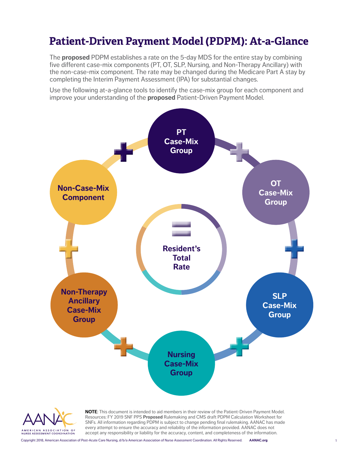# **Patient-Driven Payment Model (PDPM): At-a-Glance**

The **proposed** PDPM establishes a rate on the 5-day MDS for the entire stay by combining five different case-mix components (PT, OT, SLP, Nursing, and Non-Therapy Ancillary) with the non-case-mix component. The rate may be changed during the Medicare Part A stay by completing the Interim Payment Assessment (IPA) for substantial changes.

Use the following at-a-glance tools to identify the case-mix group for each component and improve your understanding of the **proposed** Patient-Driven Payment Model.



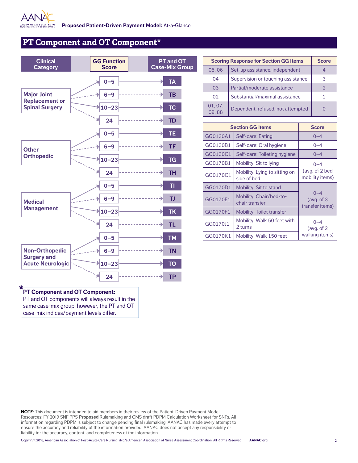

**Cap** 

## **PT Component and OT Component\***

| <b>Clinical</b><br><b>Category</b>            |           | <b>GG Function</b><br><b>Score</b> | PT and OT<br><b>Case-Mix Gro</b> |
|-----------------------------------------------|-----------|------------------------------------|----------------------------------|
|                                               |           | $0 - 5$                            | <b>TA</b>                        |
| <b>Major Joint</b><br><b>Replacement or</b>   |           | $6 - 9$                            | <b>TB</b>                        |
| <b>Spinal Surgery</b>                         |           | $10 - 23$                          | TC                               |
|                                               |           | 24                                 | <b>TD</b>                        |
|                                               |           | $0 - 5$                            | <b>TE</b>                        |
| <b>Other</b><br><b>Orthopedic</b>             |           | $6 - 9$                            | <b>TF</b>                        |
|                                               |           | $10 - 23$                          | <b>TG</b>                        |
|                                               |           | 24                                 | <b>TH</b>                        |
|                                               |           | $0 - 5$<br>$6 - 9$                 | TI<br><b>TJ</b>                  |
| <b>Medical</b><br><b>Management</b>           |           | $10 - 23$                          | <b>TK</b>                        |
|                                               |           | 24                                 | <b>TL</b>                        |
|                                               |           | $0 - 5$                            | <b>TM</b>                        |
| <b>Non-Orthopedic</b>                         |           | $6 - 9$                            | <b>TN</b>                        |
| <b>Surgery and</b><br><b>Acute Neurologic</b> | $10 - 23$ | <b>TO</b>                          |                                  |
|                                               |           | 24                                 | <b>TP</b>                        |

| <b>Scoring Response for Section GG Items</b> |                                    | <b>Score</b> |
|----------------------------------------------|------------------------------------|--------------|
| 05,06                                        | Set-up assistance, independent     |              |
| 04                                           | Supervision or touching assistance | З            |
| 03                                           | Partial/moderate assistance        |              |
| 02                                           | Substantial/maximal assistance     |              |
| 01, 07,<br>09.88                             | Dependent, refused, not attempted  |              |

| <b>Section GG items</b> |                                              | <b>Score</b>                               |
|-------------------------|----------------------------------------------|--------------------------------------------|
| GG0130A1                | Self-care: Eating                            | $0 - 4$                                    |
| GG0130B1                | Self-care: Oral hygiene                      | $0 - 4$                                    |
| GG0130C1                | Self-care: Toileting hygiene                 | $0 - 4$                                    |
| GG0170B1                | Mobility: Sit to lying                       | $0 - 4$                                    |
| GG0170C1                | Mobility: Lying to sitting on<br>side of bed | (avg. of 2 bed<br>mobility items)          |
| GG0170D1                | Mobility: Sit to stand                       |                                            |
| GG0170E1                | Mobility: Chair/bed-to-<br>chair transfer    | $0 - 4$<br>(avg. of $3$<br>transfer items) |
| GG0170F1                | Mobility: Toilet transfer                    |                                            |
| GG0170J1                | Mobility: Walk 50 feet with<br>2 turns       | $0 - 4$<br>(avg. of $2$                    |
| GG0170K1                | Mobility: Walk 150 feet                      | walking items)                             |

## **PT Component and OT Component:**

PT and OT components will always result in the same case-mix group; however, the PT and OT case-mix indices/payment levels differ.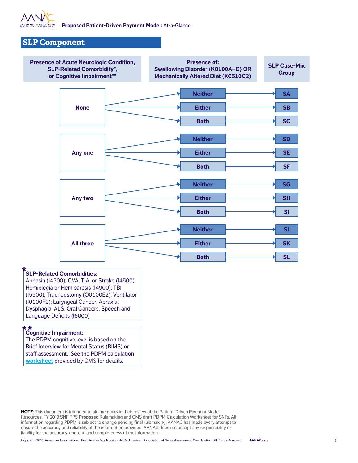

### **SLP Component**



#### **SLP-Related Comorbidities:**

Aphasia (I4300); CVA, TIA, or Stroke (I4500); Hemiplegia or Hemiparesis (I4900); TBI (I5500); Tracheostomy (O0100E2); Ventilator (I0100F2); Laryngeal Cancer, Apraxia, Dysphagia, ALS, Oral Cancers, Speech and Language Deficits (I8000)

## **Cognitive Impairment:**

The PDPM cognitive level is based on the Brief Interview for Mental Status (BIMS) or staff assessment. See the PDPM calculation **[worksheet](https://www.cms.gov/Medicare/Medicare-Fee-for-Service-Payment/SNFPPS/therapyresearch.html)** provided by CMS for details.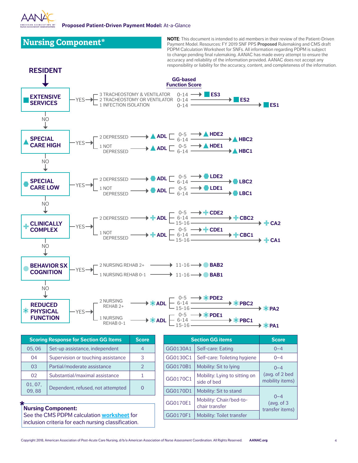

**Nursing Component\* NoTE:** This document is intended to aid members in their review of the Patient-Driven **Nursing 2019** SNF PPS **Proposed** Rulemaking and CMS draft PDPM Calculation Worksheet for SNFs. All information regarding PDPM is subject to change pending final rulemaking. AANAC has made every attempt to ensure the accuracy and reliability of the information provided. AANAC does not accept any responsibility or liability for the accuracy, content, and completeness of the information.



#### **Nursing Component:**

01, 07,

See the CMS PDPM calculation **[worksheet](https://www.cms.gov/Medicare/Medicare-Fee-for-Service-Payment/SNFPPS/therapyresearch.html)** for inclusion criteria for each nursing classification.

 $\begin{bmatrix} 01, 07, 02, 08 \end{bmatrix}$  Dependent, refused, not attempted  $\begin{bmatrix} 0 & 0 \end{bmatrix}$ 

GG0170D1 | Mobility: Sit to stand

GG0170E1 Mobility: Chair/bed-tochair transfer GG0170F1 | Mobility: Toilet transfer

 $0 - 4$ (avg. of 3 transfer items)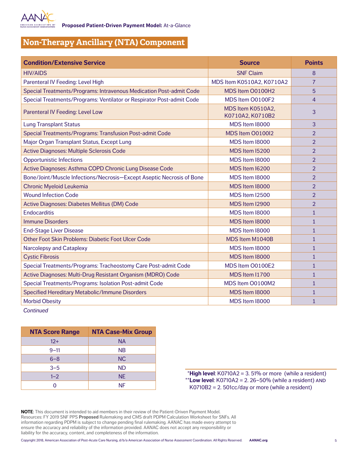

## **Non-Therapy Ancillary (NTA) Component**

| <b>Condition/Extensive Service</b>                                    | <b>Source</b>                         | <b>Points</b>  |
|-----------------------------------------------------------------------|---------------------------------------|----------------|
| <b>HIV/AIDS</b>                                                       | <b>SNF Claim</b>                      | 8              |
| Parenteral IV Feeding: Level High                                     | MDS Item K0510A2, K0710A2             | $\overline{7}$ |
| Special Treatments/Programs: Intravenous Medication Post-admit Code   | MDS Item O0100H2                      | 5              |
| Special Treatments/Programs: Ventilator or Respirator Post-admit Code | MDS Item O0100F2                      | $\overline{4}$ |
| Parenteral IV Feeding: Level Low                                      | MDS Item K0510A2,<br>K0710A2, K0710B2 | $\overline{3}$ |
| <b>Lung Transplant Status</b>                                         | MDS Item 18000                        | 3              |
| Special Treatments/Programs: Transfusion Post-admit Code              | MDS Item 00100l2                      | $\overline{2}$ |
| Major Organ Transplant Status, Except Lung                            | MDS Item 18000                        | 2              |
| Active Diagnoses: Multiple Sclerosis Code                             | MDS Item I5200                        | $\overline{2}$ |
| <b>Opportunistic Infections</b>                                       | MDS Item I8000                        | $\overline{2}$ |
| Active Diagnoses: Asthma COPD Chronic Lung Disease Code               | MDS Item I6200                        | $\overline{2}$ |
| Bone/Joint/Muscle Infections/Necrosis-Except Aseptic Necrosis of Bone | <b>MDS Item I8000</b>                 | $\overline{2}$ |
| <b>Chronic Myeloid Leukemia</b>                                       | MDS Item 18000                        | $\overline{2}$ |
| <b>Wound Infection Code</b>                                           | MDS Item I2500                        | 2              |
| Active Diagnoses: Diabetes Mellitus (DM) Code                         | MDS Item I2900                        | $\overline{2}$ |
| <b>Endocarditis</b>                                                   | MDS Item 18000                        | 1              |
| <b>Immune Disorders</b>                                               | MDS Item I8000                        | $\mathbf{1}$   |
| <b>End-Stage Liver Disease</b>                                        | MDS Item 18000                        | $\mathbf{1}$   |
| Other Foot Skin Problems: Diabetic Foot Ulcer Code                    | MDS Item M1040B                       | $\mathbf{1}$   |
| Narcolepsy and Cataplexy                                              | MDS Item I8000                        | $\mathbf{1}$   |
| <b>Cystic Fibrosis</b>                                                | MDS Item I8000                        | $\mathbf{1}$   |
| Special Treatments/Programs: Tracheostomy Care Post-admit Code        | MDS Item O0100E2                      | 1              |
| Active Diagnoses: Multi-Drug Resistant Organism (MDRO) Code           | MDS Item I1700                        | $\mathbf{1}$   |
| Special Treatments/Programs: Isolation Post-admit Code                | MDS Item O0100M2                      | $\mathbf{1}$   |
| Specified Hereditary Metabolic/Immune Disorders                       | MDS Item 18000                        | $\mathbf{1}$   |
| <b>Morbid Obesity</b>                                                 | MDS Item I8000                        | $\mathbf{1}$   |

*Continued*

| <b>NTA Score Range</b> | <b>NTA Case-Mix Group</b> |
|------------------------|---------------------------|
| $12+$                  | <b>NA</b>                 |
| $9 - 11$               | <b>NB</b>                 |
| $6 - 8$                | <b>NC</b>                 |
| $3 - 5$                | <b>ND</b>                 |
| $1 - 2$                | <b>NE</b>                 |
| n                      | NF                        |

 $*$ **High level**: K0710A2 = 3. 51% or more (while a resident) \*\***Low level**: K0710A2 = 2. 26–50% (while a resident) and K0710B2 = 2. 501cc/day or more (while a resident)